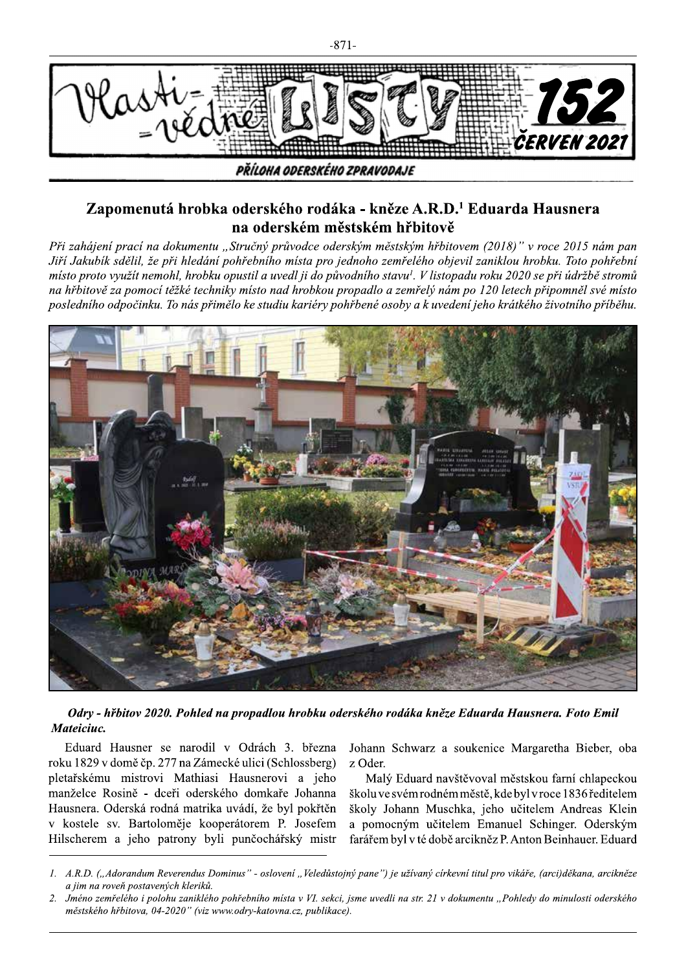

## Zapomenutá hrobka oderského rodáka - kněze A.R.D.<sup>1</sup> Eduarda Hausnera na oderském městském hřbitově

Při zahájení prací na dokumentu "Stručný průvodce oderským městským hřbitovem (2018)" v roce 2015 nám pan Jiří Jakubík sdělil, že při hledání pohřebního místa pro jednoho zemřelého objevil zaniklou hrobku. Toto pohřební místo proto využít nemohl, hrobku opustil a uvedl ji do původního stavu<sup>l</sup>. V listopadu roku 2020 se při údržbě stromů na hřbitově za pomocí těžké techniky místo nad hrobkou propadlo a zemřelý nám po 120 letech připomněl své místo posledního odpočinku. To nás přimělo ke studiu kariéry pohřbené osoby a k uvedení jeho krátkého životního příběhu.



Odry - hřbitov 2020. Pohled na propadlou hrobku oderského rodáka kněze Eduarda Hausnera. Foto Emil Mateiciuc.

Eduard Hausner se narodil v Odrách 3. března roku 1829 v domě čp. 277 na Zámecké ulici (Schlossberg) pletařskému mistrovi Mathiasi Hausnerovi a jeho manželce Rosině - dceři oderského domkaře Johanna Hausnera. Oderská rodná matrika uvádí, že byl pokřtěn v kostele sv. Bartoloměje kooperátorem P. Josefem Hilscherem a jeho patrony byli punčochářský mistr Johann Schwarz a soukenice Margaretha Bieber, oba z Oder.

Malý Eduard navštěvoval městskou farní chlapeckou školu ve svém rodném městě, kde byl v roce 1836 ředitelem školy Johann Muschka, jeho učitelem Andreas Klein a pomocným učitelem Emanuel Schinger. Oderským farářem byl v té době arcikněz P. Anton Beinhauer. Eduard

<sup>1.</sup> A.R.D. ("Adorandum Reverendus Dominus" - oslovení "Veledůstojný pane") je užívaný církevní titul pro vikáře, (arci)děkana, arcikněze a jim na roveň postavených kleriků.

<sup>2.</sup> Jméno zemřelého i polohu zaniklého pohřebního místa v VI. sekci, jsme uvedli na str. 21 v dokumentu "Pohledy do minulosti oderského městského hřbitova, 04-2020" (viz www.odry-katovna.cz, publikace).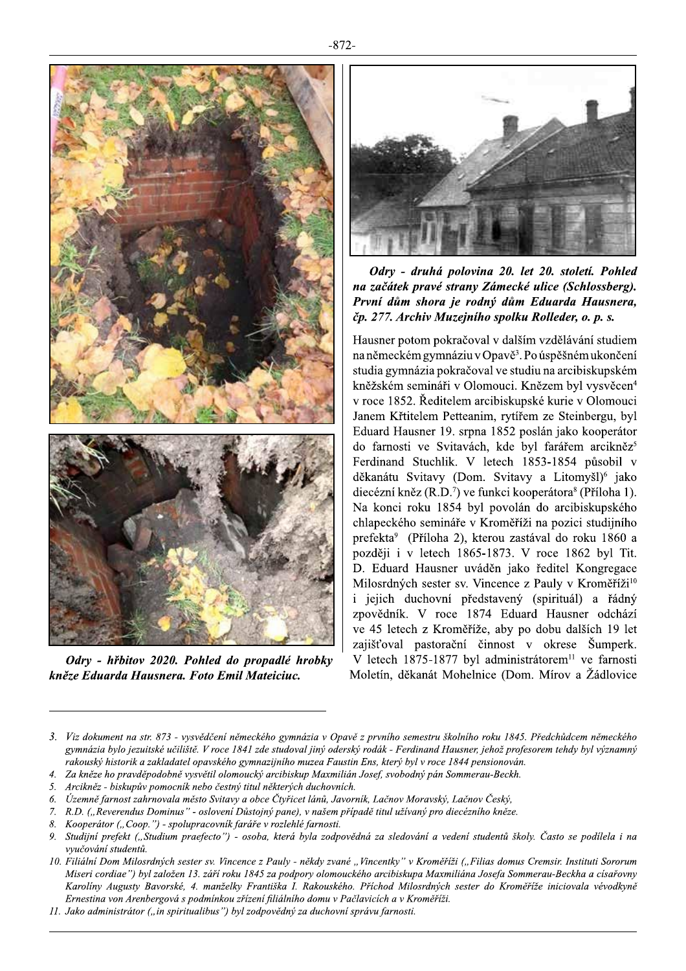

Odry - hřbitov 2020. Pohled do propadlé hrobky kněze Eduarda Hausnera. Foto Emil Mateiciuc.



Odry - druhá polovina 20. let 20. století. Pohled na začátek pravé strany Zámecké ulice (Schlossberg). První dům shora je rodný dům Eduarda Hausnera, čp. 277. Archiv Muzejního spolku Rolleder, o. p. s.

Hausner potom pokračoval v dalším vzdělávání studiem na německém gymnáziu v Opavě<sup>3</sup>. Po úspěšném ukončení studia gymnázia pokračoval ve studiu na arcibiskupském kněžském semináři v Olomouci. Knězem byl vysvěcen<sup>4</sup> v roce 1852. Ředitelem arcibiskupské kurie v Olomouci Janem Křtitelem Petteanim, rytířem ze Steinbergu, byl Eduard Hausner 19. srpna 1852 poslán jako kooperátor do farnosti ve Svitavách, kde byl farářem arcikněz<sup>5</sup> Ferdinand Stuchlik. V letech 1853-1854 působil v děkanátu Svitavy (Dom. Svitavy a Litomyšl)<sup>6</sup> jako diecézní kněz (R.D.<sup>7</sup>) ve funkci kooperátora<sup>8</sup> (Příloha 1). Na konci roku 1854 byl povolán do arcibiskupského chlapeckého semináře v Kroměříži na pozici studijního prefekta<sup>9</sup> (Příloha 2), kterou zastával do roku 1860 a později i v letech 1865-1873. V roce 1862 byl Tit. D. Eduard Hausner uváděn jako ředitel Kongregace Milosrdných sester sv. Vincence z Pauly v Kroměříži<sup>10</sup> i jejich duchovní představený (spirituál) a řádný zpovědník. V roce 1874 Eduard Hausner odchází ve 45 letech z Kroměříže, aby po dobu dalších 19 let zajišťoval pastorační činnost v okrese Šumperk. V letech 1875-1877 byl administrátorem<sup>11</sup> ve farnosti Moletín, děkanát Mohelnice (Dom. Mírov a Žádlovice

<sup>3.</sup> Viz dokument na str. 873 - vysvědčení německého gymnázia v Opavě z prvního semestru školního roku 1845. Předchůdcem německého gymnázia bylo jezuitské učiliště. V roce 1841 zde studoval jiný oderský rodák - Ferdinand Hausner, jehož profesorem tehdy byl významný rakouský historik a zakladatel opavského gymnazijního muzea Faustin Ens, který byl v roce 1844 pensionován.

<sup>4.</sup> Za kněze ho pravděpodobně vysvětil olomoucký arcibiskup Maxmilián Josef, svobodný pán Sommerau-Beckh.

<sup>5.</sup> Arcikněz - biskupův pomocník nebo čestný titul některých duchovních.

<sup>6.</sup> Územně farnost zahrnovala město Svitavy a obce Čtyřicet lánů, Javorník, Lačnov Moravský, Lačnov Český,

<sup>7.</sup> R.D. ("Reverendus Dominus" - oslovení Důstojný pane), v našem případě titul užívaný pro diecézního kněze.

Kooperátor ("Coop.") - spolupracovník faráře v rozlehlé farnosti. 8.

 $\boldsymbol{Q}$ Studijní prefekt ("Studium praefecto") - osoba, která byla zodpovědná za sledování a vedení studentů školy. Často se podílela i na vvučování studentů.

<sup>10.</sup> Filiální Dom Milosrdných sester sv. Vincence z Pauly - někdy zvané "Vincentky" v Kroměříži ("Filias domus Cremsir. Instituti Sororum Miseri cordiae") byl založen 13. září roku 1845 za podpory olomouckého arcibiskupa Maxmiliána Josefa Sommerau-Beckha a císařovny Karolíny Augusty Bavorské, 4. manželky Františka I. Rakouského. Příchod Milosrdných sester do Kroměříže iniciovala vévodkyně Ernestina von Arenbergová s podmínkou zřízení filiálního domu v Pačlavicích a v Kroměříži.

<sup>11.</sup> Jako administrátor ("in spiritualibus") byl zodpovědný za duchovní správu farnosti.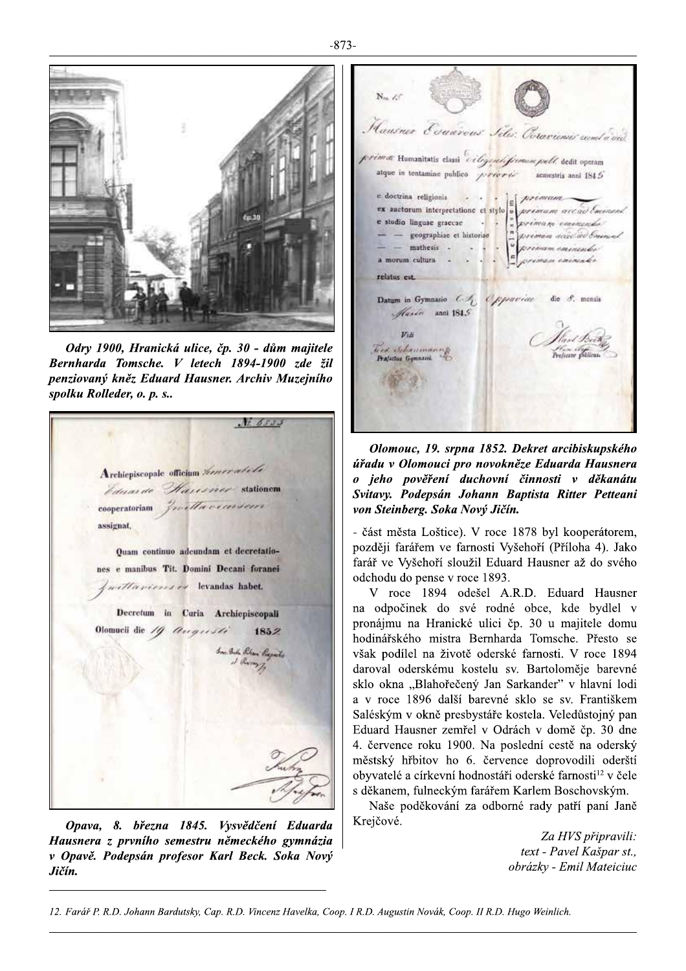

Odry 1900, Hranická ulice, čp. 30 - dům majitele Bernharda Tomsche. V letech 1894-1900 zde žil penziovaný kněz Eduard Hausner, Archiv Muzejního spolku Rolleder, o. p. s..

 $N26533$ Archiepiscopale officium heneratele *Eduarde Hausner* stationem cooperatoriam fraction conserver assignat. Ouam continuo adeundam et decretationes e manibus Tit. Domini Decani foranei millavienses levandas habet. Decretum in Curia Archiepiscopali Olomucii die  $/q$  Augusti 1852 In Bile Pilan Progets

Opava, 8. března 1845. Vysvědčení Eduarda Hausnera z prvního semestru německého gymnázia v Opavě. Podepsán profesor Karl Beck. Soka Nový Jičín.

 $N_m \neq$ Hausner Evanrous Sile: Ocravienies comt a and rimat Humanitatis classi ciligentifirmane pull dedit operam atque in tentamine publico  $\sqrt{r}$ erere semestris anni 1845 a priman accordination  $-$  mathesis  $\cdot$   $\cdot$   $\cdot$   $\cdot$ a morum cultura . relator est. Datum in Gymnasio C.A. Oppaciae die 8. menis Masín anni 1845 Hart Beeth<br>Hart britan  $U_{16}$ Tied Schaumas Prafectus Gymnasii

Olomouc, 19. srpna 1852. Dekret arcibiskupského úřadu v Olomouci pro novokněze Eduarda Hausnera o jeho pověření duchovní činnosti v děkanátu Svitavy. Podepsán Johann Baptista Ritter Petteani von Steinberg. Soka Nový Jičín.

- část města Loštice). V roce 1878 byl kooperátorem, později farářem ve farnosti Vyšehoří (Příloha 4). Jako farář ve Vyšehoří sloužil Eduard Hausner až do svého odchodu do pense v roce 1893.

V roce 1894 odešel A.R.D. Eduard Hausner na odpočinek do své rodné obce, kde bydlel v pronájmu na Hranické ulici čp. 30 u majitele domu hodinářského mistra Bernharda Tomsche. Přesto se však podílel na životě oderské farnosti. V roce 1894 daroval oderskému kostelu sv. Bartoloměje barevné sklo okna "Blahořečený Jan Sarkander" v hlavní lodi a v roce 1896 další barevné sklo se sv. Františkem Saléským v okně presbystáře kostela. Veledůstojný pan Eduard Hausner zemřel v Odrách v domě čp. 30 dne 4. července roku 1900. Na poslední cestě na oderský městský hřbitov ho 6. července doprovodili oderští obyvatelé a církevní hodnostáři oderské farnosti<sup>12</sup> v čele s děkanem, fulneckým farářem Karlem Boschovským.

Naše poděkování za odborné rady patří paní Janě Krejčové.

> Za HVS připravili: text - Pavel Kašpar st., obrázky - Emil Mateiciuc

12. Farář P. R.D. Johann Bardutsky, Cap. R.D. Vincenz Havelka, Coop. I R.D. Augustin Novák, Coop. II R.D. Hugo Weinlich.